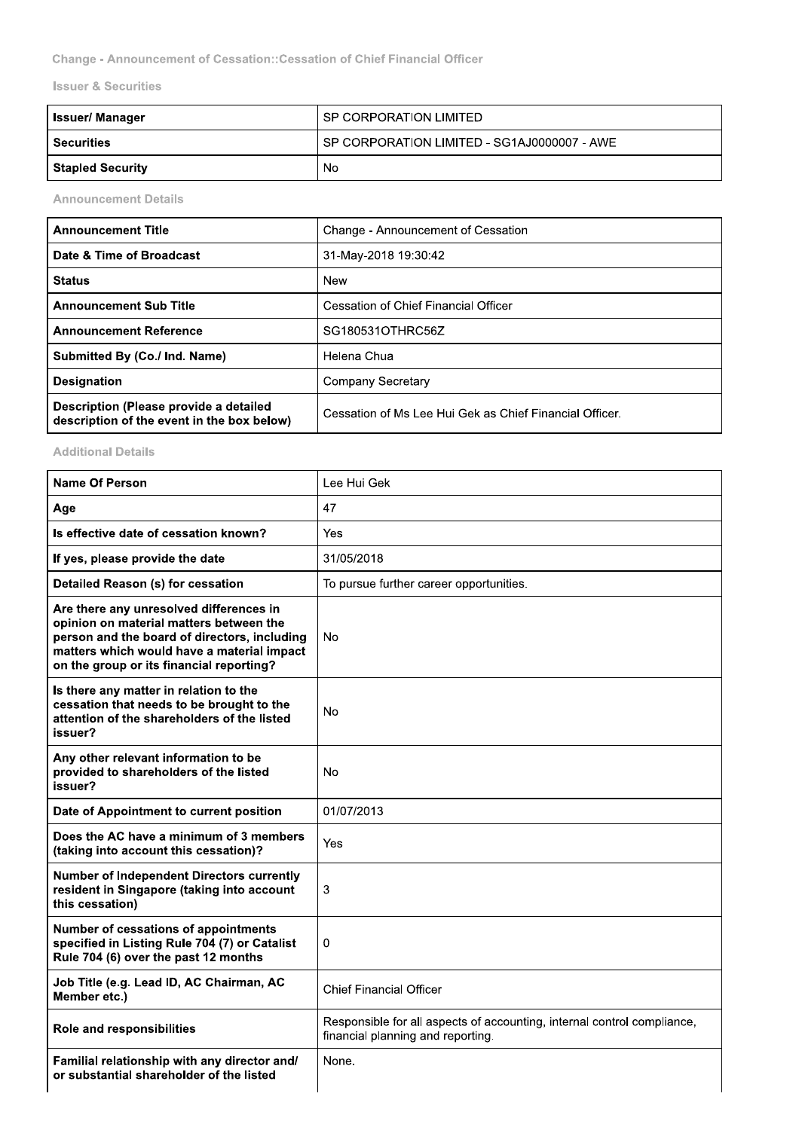Change - Announcement of Cessation:: Cessation of Chief Financial Officer

**Issuer & Securities** 

| Issuer/ Manager         | SP CORPORATION LIMITED                      |
|-------------------------|---------------------------------------------|
| <b>Securities</b>       | SP CORPORATION LIMITED - SG1AJ0000007 - AWE |
| <b>Stapled Security</b> | No                                          |

**Announcement Details** 

| <b>Announcement Title</b>                                                            | Change - Announcement of Cessation                      |
|--------------------------------------------------------------------------------------|---------------------------------------------------------|
| Date & Time of Broadcast                                                             | 31-May-2018 19:30:42                                    |
| <b>Status</b>                                                                        | New                                                     |
| <b>Announcement Sub Title</b>                                                        | Cessation of Chief Financial Officer                    |
| <b>Announcement Reference</b>                                                        | SG180531OTHRC56Z                                        |
| Submitted By (Co./ Ind. Name)                                                        | Helena Chua                                             |
| <b>Designation</b>                                                                   | Company Secretary                                       |
| Description (Please provide a detailed<br>description of the event in the box below) | Cessation of Ms Lee Hui Gek as Chief Financial Officer. |

## **Additional Details**

| Name Of Person                                                                                                                                                                                                               | Lee Hui Gek                                                                                                  |
|------------------------------------------------------------------------------------------------------------------------------------------------------------------------------------------------------------------------------|--------------------------------------------------------------------------------------------------------------|
| Age                                                                                                                                                                                                                          | 47                                                                                                           |
| Is effective date of cessation known?                                                                                                                                                                                        | Yes                                                                                                          |
| If yes, please provide the date                                                                                                                                                                                              | 31/05/2018                                                                                                   |
| Detailed Reason (s) for cessation                                                                                                                                                                                            | To pursue further career opportunities.                                                                      |
| Are there any unresolved differences in<br>opinion on material matters between the<br>person and the board of directors, including<br>matters which would have a material impact<br>on the group or its financial reporting? | No                                                                                                           |
| Is there any matter in relation to the<br>cessation that needs to be brought to the<br>attention of the shareholders of the listed<br>issuer?                                                                                | No                                                                                                           |
| Any other relevant information to be<br>provided to shareholders of the listed<br>issuer?                                                                                                                                    | No                                                                                                           |
| Date of Appointment to current position                                                                                                                                                                                      | 01/07/2013                                                                                                   |
| Does the AC have a minimum of 3 members<br>(taking into account this cessation)?                                                                                                                                             | Yes                                                                                                          |
| <b>Number of Independent Directors currently</b><br>resident in Singapore (taking into account<br>this cessation)                                                                                                            | 3                                                                                                            |
| Number of cessations of appointments<br>specified in Listing Rule 704 (7) or Catalist<br>Rule 704 (6) over the past 12 months                                                                                                | 0                                                                                                            |
| Job Title (e.g. Lead ID, AC Chairman, AC<br>Member etc.)                                                                                                                                                                     | <b>Chief Financial Officer</b>                                                                               |
| <b>Role and responsibilities</b>                                                                                                                                                                                             | Responsible for all aspects of accounting, internal control compliance,<br>financial planning and reporting. |
| Familial relationship with any director and/<br>or substantial shareholder of the listed                                                                                                                                     | None.                                                                                                        |